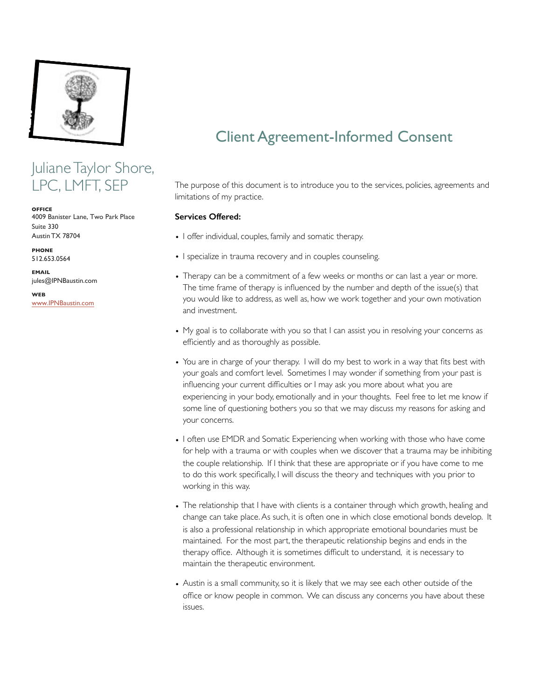

## Juliane Taylor Shore, LPC, LMFT, SEP

**OFFICE** 4009 Banister Lane, Two Park Place Suite 330 Austin TX 78704

**PHONE** 512.653.0564

**EMAIL** jules@IPNBaustin.com

**WEB** [www.IPNBaustin](http://www.julianetaylorshore.com).com

# Client Agreement-Informed Consent

The purpose of this document is to introduce you to the services, policies, agreements and limitations of my practice.

#### **Services Offered:**

- I offer individual, couples, family and somatic therapy.
- I specialize in trauma recovery and in couples counseling.
- Therapy can be a commitment of a few weeks or months or can last a year or more. The time frame of therapy is influenced by the number and depth of the issue(s) that you would like to address, as well as, how we work together and your own motivation and investment.
- My goal is to collaborate with you so that I can assist you in resolving your concerns as efficiently and as thoroughly as possible.
- You are in charge of your therapy. I will do my best to work in a way that fits best with your goals and comfort level. Sometimes I may wonder if something from your past is influencing your current difficulties or I may ask you more about what you are experiencing in your body, emotionally and in your thoughts. Feel free to let me know if some line of questioning bothers you so that we may discuss my reasons for asking and your concerns.
- I often use EMDR and Somatic Experiencing when working with those who have come for help with a trauma or with couples when we discover that a trauma may be inhibiting the couple relationship. If I think that these are appropriate or if you have come to me to do this work specifically, I will discuss the theory and techniques with you prior to working in this way.
- The relationship that I have with clients is a container through which growth, healing and change can take place. As such, it is often one in which close emotional bonds develop. It is also a professional relationship in which appropriate emotional boundaries must be maintained. For the most part, the therapeutic relationship begins and ends in the therapy office. Although it is sometimes difficult to understand, it is necessary to maintain the therapeutic environment.
- Austin is a small community, so it is likely that we may see each other outside of the office or know people in common. We can discuss any concerns you have about these issues.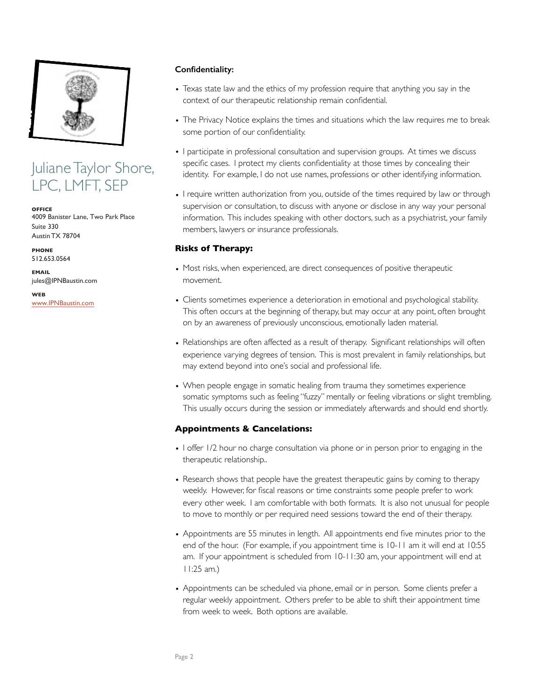

Juliane Taylor Shore, LPC, LMFT, SEP

**OFFICE** 4009 Banister Lane, Two Park Place Suite 330 Austin TX 78704

**PHONE** 512.653.0564

**EMAIL** jules@IPNBaustin.com

**WEB** www.IPNBaustin.com

#### **Confidentiality:**

- Texas state law and the ethics of my profession require that anything you say in the context of our therapeutic relationship remain confidential.
- The Privacy Notice explains the times and situations which the law requires me to break some portion of our confidentiality.
- I participate in professional consultation and supervision groups. At times we discuss specific cases. I protect my clients confidentiality at those times by concealing their identity. For example, I do not use names, professions or other identifying information.
- I require written authorization from you, outside of the times required by law or through supervision or consultation, to discuss with anyone or disclose in any way your personal information. This includes speaking with other doctors, such as a psychiatrist, your family members, lawyers or insurance professionals.

#### **Risks of Therapy:**

- Most risks, when experienced, are direct consequences of positive therapeutic movement.
- Clients sometimes experience a deterioration in emotional and psychological stability. This often occurs at the beginning of therapy, but may occur at any point, often brought on by an awareness of previously unconscious, emotionally laden material.
- Relationships are often affected as a result of therapy. Significant relationships will often experience varying degrees of tension. This is most prevalent in family relationships, but may extend beyond into one's social and professional life.
- When people engage in somatic healing from trauma they sometimes experience somatic symptoms such as feeling "fuzzy" mentally or feeling vibrations or slight trembling. This usually occurs during the session or immediately afterwards and should end shortly.

## **Appointments & Cancelations:**

- I offer 1/2 hour no charge consultation via phone or in person prior to engaging in the therapeutic relationship..
- Research shows that people have the greatest therapeutic gains by coming to therapy weekly. However, for fiscal reasons or time constraints some people prefer to work every other week. I am comfortable with both formats. It is also not unusual for people to move to monthly or per required need sessions toward the end of their therapy.
- Appointments are 55 minutes in length. All appointments end five minutes prior to the end of the hour. (For example, if you appointment time is 10-11 am it will end at 10:55 am. If your appointment is scheduled from 10-11:30 am, your appointment will end at 11:25 am.)
- Appointments can be scheduled via phone, email or in person. Some clients prefer a regular weekly appointment. Others prefer to be able to shift their appointment time from week to week. Both options are available.